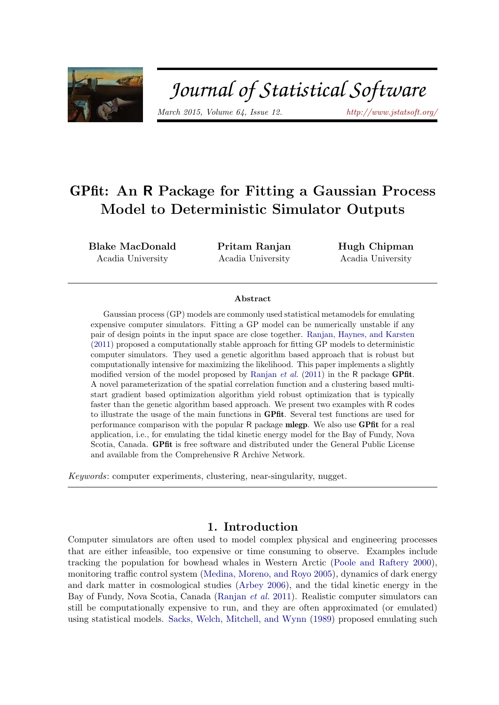

# Journal of Statistical Software

*March 2015, Volume 64, Issue 12. http://www.jstatsoft.org/*

# GPfit: An R Package for Fitting a Gaussian Process Model to Deterministic Simulator Outputs

Blake MacDonald Acadia University

Pritam Ranjan Acadia University

Hugh Chipman Acadia University

#### Abstract

Gaussian process (GP) models are commonly used statistical metamodels for emulating expensive computer simulators. Fitting a GP model can be numerically unstable if any pair of design points in the input space are close together. Ranjan, Haynes, and Karsten (2011) proposed a computationally stable approach for fitting GP models to deterministic computer simulators. They used a genetic algorithm based approach that is robust but computationally intensive for maximizing the likelihood. This paper implements a slightly modified version of the model proposed by Ranjan *et al.* (2011) in the R package GPfit. A novel parameterization of the spatial correlation function and a clustering based multistart gradient based optimization algorithm yield robust optimization that is typically faster than the genetic algorithm based approach. We present two examples with R codes to illustrate the usage of the main functions in GPfit. Several test functions are used for performance comparison with the popular R package mlegp. We also use GPfit for a real application, i.e., for emulating the tidal kinetic energy model for the Bay of Fundy, Nova Scotia, Canada. GPfit is free software and distributed under the General Public License and available from the Comprehensive R Archive Network.

*Keywords*: computer experiments, clustering, near-singularity, nugget.

### 1. Introduction

Computer simulators are often used to model complex physical and engineering processes that are either infeasible, too expensive or time consuming to observe. Examples include tracking the population for bowhead whales in Western Arctic (Poole and Raftery 2000), monitoring traffic control system (Medina, Moreno, and Royo 2005), dynamics of dark energy and dark matter in cosmological studies (Arbey 2006), and the tidal kinetic energy in the Bay of Fundy, Nova Scotia, Canada (Ranjan *et al.* 2011). Realistic computer simulators can still be computationally expensive to run, and they are often approximated (or emulated) using statistical models. Sacks, Welch, Mitchell, and Wynn (1989) proposed emulating such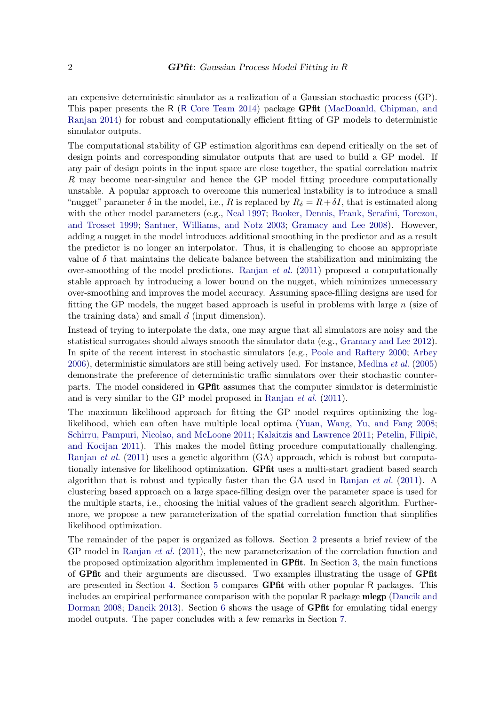an expensive deterministic simulator as a realization of a Gaussian stochastic process (GP). This paper presents the R (R Core Team 2014) package GPfit (MacDoanld, Chipman, and Ranjan 2014) for robust and computationally efficient fitting of GP models to deterministic simulator outputs.

The computational stability of GP estimation algorithms can depend critically on the set of design points and corresponding simulator outputs that are used to build a GP model. If any pair of design points in the input space are close together, the spatial correlation matrix R may become near-singular and hence the GP model fitting procedure computationally unstable. A popular approach to overcome this numerical instability is to introduce a small "nugget" parameter  $\delta$  in the model, i.e., R is replaced by  $R_{\delta} = R + \delta I$ , that is estimated along with the other model parameters (e.g., Neal 1997; Booker, Dennis, Frank, Serafini, Torczon, and Trosset 1999; Santner, Williams, and Notz 2003; Gramacy and Lee 2008). However, adding a nugget in the model introduces additional smoothing in the predictor and as a result the predictor is no longer an interpolator. Thus, it is challenging to choose an appropriate value of  $\delta$  that maintains the delicate balance between the stabilization and minimizing the over-smoothing of the model predictions. Ranjan *et al.* (2011) proposed a computationally stable approach by introducing a lower bound on the nugget, which minimizes unnecessary over-smoothing and improves the model accuracy. Assuming space-filling designs are used for fitting the GP models, the nugget based approach is useful in problems with large n (size of the training data) and small  $d$  (input dimension).

Instead of trying to interpolate the data, one may argue that all simulators are noisy and the statistical surrogates should always smooth the simulator data (e.g., Gramacy and Lee 2012). In spite of the recent interest in stochastic simulators (e.g., Poole and Raftery 2000; Arbey 2006), deterministic simulators are still being actively used. For instance, Medina *et al.* (2005) demonstrate the preference of deterministic traffic simulators over their stochastic counterparts. The model considered in GPfit assumes that the computer simulator is deterministic and is very similar to the GP model proposed in Ranjan *et al.* (2011).

The maximum likelihood approach for fitting the GP model requires optimizing the loglikelihood, which can often have multiple local optima (Yuan, Wang, Yu, and Fang 2008; Schirru, Pampuri, Nicolao, and McLoone 2011; Kalaitzis and Lawrence 2011; Petelin, Filipič, and Kocijan 2011). This makes the model fitting procedure computationally challenging. Ranjan *et al.* (2011) uses a genetic algorithm (GA) approach, which is robust but computationally intensive for likelihood optimization. GPfit uses a multi-start gradient based search algorithm that is robust and typically faster than the GA used in Ranjan *et al.* (2011). A clustering based approach on a large space-filling design over the parameter space is used for the multiple starts, i.e., choosing the initial values of the gradient search algorithm. Furthermore, we propose a new parameterization of the spatial correlation function that simplifies likelihood optimization.

The remainder of the paper is organized as follows. Section 2 presents a brief review of the GP model in Ranjan *et al.* (2011), the new parameterization of the correlation function and the proposed optimization algorithm implemented in GPfit. In Section 3, the main functions of GPfit and their arguments are discussed. Two examples illustrating the usage of GPfit are presented in Section 4. Section 5 compares GPfit with other popular R packages. This includes an empirical performance comparison with the popular R package mlegp (Dancik and Dorman 2008; Dancik 2013). Section 6 shows the usage of **GPfit** for emulating tidal energy model outputs. The paper concludes with a few remarks in Section 7.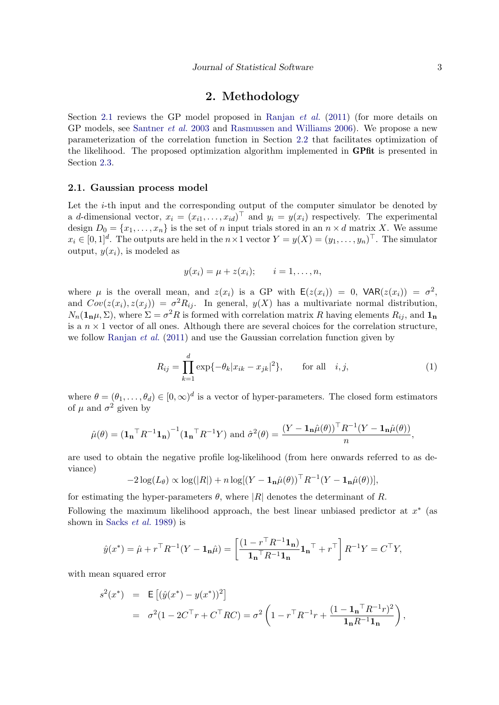#### 2. Methodology

Section 2.1 reviews the GP model proposed in Ranjan *et al.* (2011) (for more details on GP models, see Santner *et al.* 2003 and Rasmussen and Williams 2006). We propose a new parameterization of the correlation function in Section 2.2 that facilitates optimization of the likelihood. The proposed optimization algorithm implemented in GPfit is presented in Section 2.3.

#### 2.1. Gaussian process model

Let the i-th input and the corresponding output of the computer simulator be denoted by a d-dimensional vector,  $x_i = (x_{i1}, \ldots, x_{id})^\top$  and  $y_i = y(x_i)$  respectively. The experimental design  $D_0 = \{x_1, \ldots, x_n\}$  is the set of n input trials stored in an  $n \times d$  matrix X. We assume  $x_i \in [0,1]^d$ . The outputs are held in the  $n \times 1$  vector  $Y = y(X) = (y_1, \ldots, y_n)^\top$ . The simulator output,  $y(x_i)$ , is modeled as

$$
y(x_i) = \mu + z(x_i);
$$
  $i = 1, ..., n,$ 

where  $\mu$  is the overall mean, and  $z(x_i)$  is a GP with  $\mathsf{E}(z(x_i)) = 0$ ,  $\mathsf{VAR}(z(x_i)) = \sigma^2$ , and  $Cov(z(x_i), z(x_j)) = \sigma^2 R_{ij}$ . In general,  $y(X)$  has a multivariate normal distribution,  $N_n(\mathbf{1_n}\mu, \Sigma)$ , where  $\Sigma = \sigma^2 R$  is formed with correlation matrix R having elements  $R_{ij}$ , and  $\mathbf{1_n}$ is a  $n \times 1$  vector of all ones. Although there are several choices for the correlation structure, we follow Ranjan *et al.* (2011) and use the Gaussian correlation function given by

$$
R_{ij} = \prod_{k=1}^{d} \exp\{-\theta_k |x_{ik} - x_{jk}|^2\}, \quad \text{for all} \quad i, j,
$$
 (1)

where  $\theta = (\theta_1, \ldots, \theta_d) \in [0, \infty)^d$  is a vector of hyper-parameters. The closed form estimators of  $\mu$  and  $\sigma^2$  given by

$$
\hat{\mu}(\theta) = \left(\mathbf{1_n}^\top R^{-1} \mathbf{1_n}\right)^{-1} \left(\mathbf{1_n}^\top R^{-1} Y\right) \text{ and } \hat{\sigma}^2(\theta) = \frac{\left(Y - \mathbf{1_n} \hat{\mu}(\theta)\right)^\top R^{-1} \left(Y - \mathbf{1_n} \hat{\mu}(\theta)\right)}{n},
$$

are used to obtain the negative profile log-likelihood (from here onwards referred to as deviance)

$$
-2\log(L_{\theta}) \propto \log(|R|) + n\log[(Y - \mathbf{1}_{\mathbf{n}}\hat{\mu}(\theta))^{\top}R^{-1}(Y - \mathbf{1}_{\mathbf{n}}\hat{\mu}(\theta))],
$$

for estimating the hyper-parameters  $\theta$ , where |R| denotes the determinant of R.

Following the maximum likelihood approach, the best linear unbiased predictor at  $x^*$  (as shown in Sacks *et al.* 1989) is

$$
\hat{y}(x^*) = \hat{\mu} + r^\top R^{-1}(Y - \mathbf{1}_{\mathbf{n}}\hat{\mu}) = \left[\frac{(1 - r^\top R^{-1}\mathbf{1}_{\mathbf{n}})}{\mathbf{1}_{\mathbf{n}}\top R^{-1}\mathbf{1}_{\mathbf{n}}}\mathbf{1}_{\mathbf{n}}\top + r^\top\right]R^{-1}Y = C^\top Y,
$$

with mean squared error

$$
s^{2}(x^{*}) = \mathsf{E}\left[ (\hat{y}(x^{*}) - y(x^{*}))^{2} \right]
$$
  
=  $\sigma^{2}(1 - 2C^{\top}r + C^{\top}RC) = \sigma^{2}\left(1 - r^{\top}R^{-1}r + \frac{(1 - \mathbf{1_{n}}^{\top}R^{-1}r)^{2}}{\mathbf{1_{n}}R^{-1}\mathbf{1_{n}}}\right),$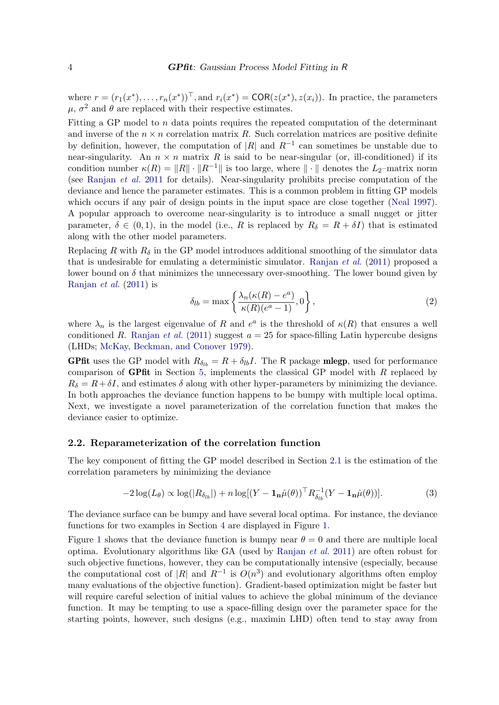where  $r = (r_1(x^*), \ldots, r_n(x^*))^\top$ , and  $r_i(x^*) = \text{COR}(z(x^*), z(x_i))$ . In practice, the parameters  $\mu$ ,  $\sigma^2$  and  $\theta$  are replaced with their respective estimates.

Fitting a GP model to  $n$  data points requires the repeated computation of the determinant and inverse of the  $n \times n$  correlation matrix R. Such correlation matrices are positive definite by definition, however, the computation of |R| and  $R^{-1}$  can sometimes be unstable due to near-singularity. An  $n \times n$  matrix R is said to be near-singular (or, ill-conditioned) if its condition number  $\kappa(R) = ||R|| \cdot ||R^{-1}||$  is too large, where  $|| \cdot ||$  denotes the L<sub>2</sub>–matrix norm (see Ranjan *et al.* 2011 for details). Near-singularity prohibits precise computation of the deviance and hence the parameter estimates. This is a common problem in fitting GP models which occurs if any pair of design points in the input space are close together (Neal 1997). A popular approach to overcome near-singularity is to introduce a small nugget or jitter parameter,  $\delta \in (0,1)$ , in the model (i.e., R is replaced by  $R_{\delta} = R + \delta I$ ) that is estimated along with the other model parameters.

Replacing R with  $R_{\delta}$  in the GP model introduces additional smoothing of the simulator data that is undesirable for emulating a deterministic simulator. Ranjan *et al.* (2011) proposed a lower bound on  $\delta$  that minimizes the unnecessary over-smoothing. The lower bound given by Ranjan *et al.* (2011) is

$$
\delta_{lb} = \max\left\{\frac{\lambda_n(\kappa(R) - e^a)}{\kappa(R)(e^a - 1)}, 0\right\},\tag{2}
$$

where  $\lambda_n$  is the largest eigenvalue of R and  $e^a$  is the threshold of  $\kappa(R)$  that ensures a well conditioned R. Ranjan *et al.* (2011) suggest  $a = 25$  for space-filling Latin hypercube designs (LHDs; McKay, Beckman, and Conover 1979).

**GPfit** uses the GP model with  $R_{\delta_{lb}} = R + \delta_{lb}I$ . The R package **mlegp**, used for performance comparison of GPfit in Section 5, implements the classical GP model with  $R$  replaced by  $R_{\delta} = R + \delta I$ , and estimates  $\delta$  along with other hyper-parameters by minimizing the deviance. In both approaches the deviance function happens to be bumpy with multiple local optima. Next, we investigate a novel parameterization of the correlation function that makes the deviance easier to optimize.

#### 2.2. Reparameterization of the correlation function

The key component of fitting the GP model described in Section 2.1 is the estimation of the correlation parameters by minimizing the deviance

$$
-2\log(L_{\theta}) \propto \log(|R_{\delta_{lb}}|) + n\log[(Y - \mathbf{1}_{\mathbf{n}}\hat{\mu}(\theta))^{\top}R_{\delta_{lb}}^{-1}(Y - \mathbf{1}_{\mathbf{n}}\hat{\mu}(\theta))].
$$
\n(3)

The deviance surface can be bumpy and have several local optima. For instance, the deviance functions for two examples in Section 4 are displayed in Figure 1.

Figure 1 shows that the deviance function is bumpy near  $\theta = 0$  and there are multiple local optima. Evolutionary algorithms like GA (used by Ranjan *et al.* 2011) are often robust for such objective functions, however, they can be computationally intensive (especially, because the computational cost of |R| and  $R^{-1}$  is  $O(n^3)$  and evolutionary algorithms often employ many evaluations of the objective function). Gradient-based optimization might be faster but will require careful selection of initial values to achieve the global minimum of the deviance function. It may be tempting to use a space-filling design over the parameter space for the starting points, however, such designs (e.g., maximin LHD) often tend to stay away from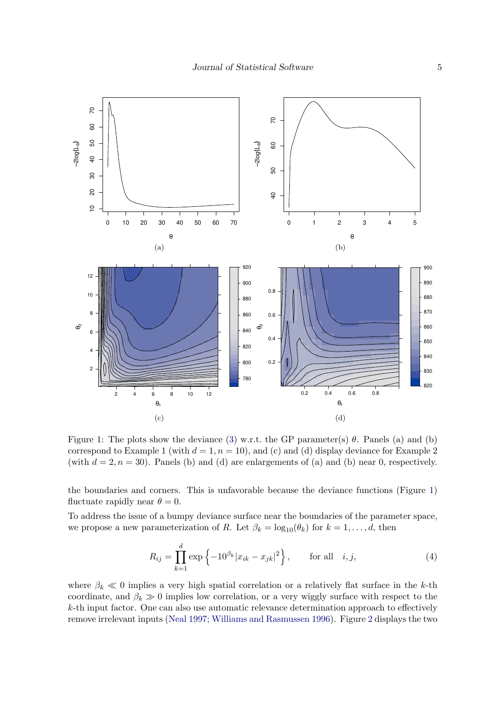

Figure 1: The plots show the deviance (3) w.r.t. the GP parameter(s)  $\theta$ . Panels (a) and (b) correspond to Example 1 (with  $d = 1, n = 10$ ), and (c) and (d) display deviance for Example 2 (with  $d = 2$ ,  $n = 30$ ). Panels (b) and (d) are enlargements of (a) and (b) near 0, respectively.

the boundaries and corners. This is unfavorable because the deviance functions (Figure 1) fluctuate rapidly near  $\theta = 0$ .

To address the issue of a bumpy deviance surface near the boundaries of the parameter space, we propose a new parameterization of R. Let  $\beta_k = \log_{10}(\theta_k)$  for  $k = 1, \ldots, d$ , then

$$
R_{ij} = \prod_{k=1}^{d} \exp\left\{-10^{\beta_k} |x_{ik} - x_{jk}|^2\right\}, \qquad \text{for all} \quad i, j,
$$
 (4)

where  $\beta_k \ll 0$  implies a very high spatial correlation or a relatively flat surface in the k-th coordinate, and  $\beta_k \gg 0$  implies low correlation, or a very wiggly surface with respect to the k-th input factor. One can also use automatic relevance determination approach to effectively remove irrelevant inputs (Neal 1997; Williams and Rasmussen 1996). Figure 2 displays the two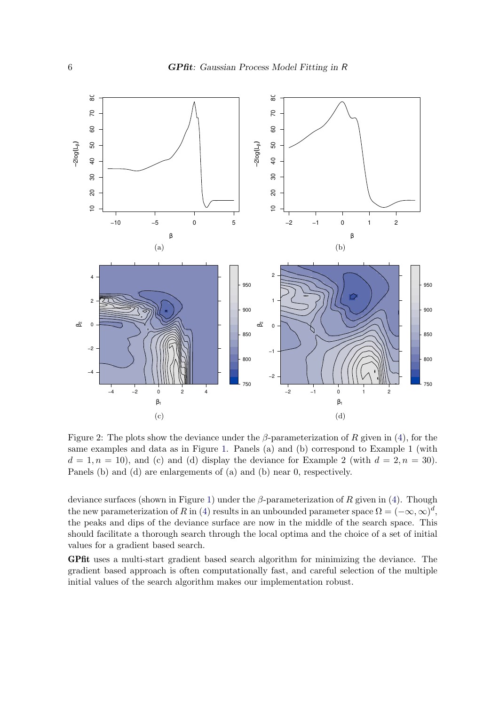

Figure 2: The plots show the deviance under the  $\beta$ -parameterization of R given in (4), for the same examples and data as in Figure 1. Panels (a) and (b) correspond to Example 1 (with  $d = 1, n = 10$ , and (c) and (d) display the deviance for Example 2 (with  $d = 2, n = 30$ ). Panels (b) and (d) are enlargements of (a) and (b) near 0, respectively.

deviance surfaces (shown in Figure 1) under the  $\beta$ -parameterization of R given in (4). Though the new parameterization of R in (4) results in an unbounded parameter space  $\Omega = (-\infty, \infty)^d$ , the peaks and dips of the deviance surface are now in the middle of the search space. This should facilitate a thorough search through the local optima and the choice of a set of initial values for a gradient based search.

GPfit uses a multi-start gradient based search algorithm for minimizing the deviance. The gradient based approach is often computationally fast, and careful selection of the multiple initial values of the search algorithm makes our implementation robust.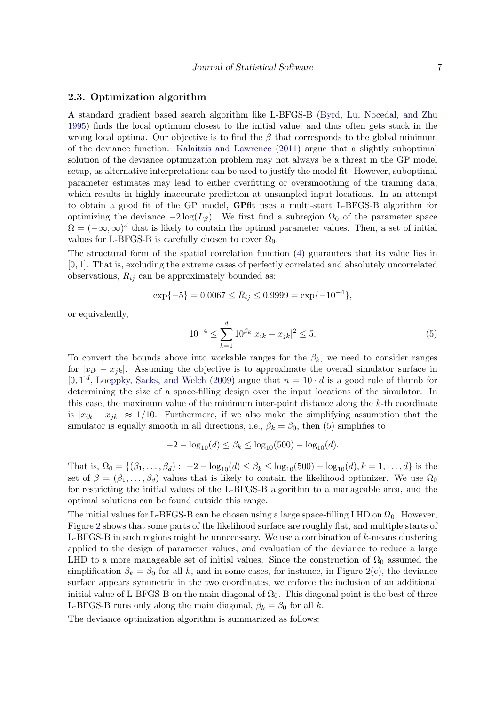#### 2.3. Optimization algorithm

A standard gradient based search algorithm like L-BFGS-B (Byrd, Lu, Nocedal, and Zhu 1995) finds the local optimum closest to the initial value, and thus often gets stuck in the wrong local optima. Our objective is to find the  $\beta$  that corresponds to the global minimum of the deviance function. Kalaitzis and Lawrence (2011) argue that a slightly suboptimal solution of the deviance optimization problem may not always be a threat in the GP model setup, as alternative interpretations can be used to justify the model fit. However, suboptimal parameter estimates may lead to either overfitting or oversmoothing of the training data, which results in highly inaccurate prediction at unsampled input locations. In an attempt to obtain a good fit of the GP model, GPfit uses a multi-start L-BFGS-B algorithm for optimizing the deviance  $-2 \log(L_\beta)$ . We first find a subregion  $\Omega_0$  of the parameter space  $\Omega = (-\infty, \infty)^d$  that is likely to contain the optimal parameter values. Then, a set of initial values for L-BFGS-B is carefully chosen to cover  $\Omega_0$ .

The structural form of the spatial correlation function (4) guarantees that its value lies in [0, 1]. That is, excluding the extreme cases of perfectly correlated and absolutely uncorrelated observations,  $R_{ij}$  can be approximately bounded as:

$$
\exp\{-5\} = 0.0067 \le R_{ij} \le 0.9999 = \exp\{-10^{-4}\},\
$$

or equivalently,

$$
10^{-4} \le \sum_{k=1}^{d} 10^{\beta_k} |x_{ik} - x_{jk}|^2 \le 5. \tag{5}
$$

To convert the bounds above into workable ranges for the  $\beta_k$ , we need to consider ranges for  $|x_{ik} - x_{jk}|$ . Assuming the objective is to approximate the overall simulator surface in  $[0,1]^d$ , Loeppky, Sacks, and Welch (2009) argue that  $n = 10 \cdot d$  is a good rule of thumb for determining the size of a space-filling design over the input locations of the simulator. In this case, the maximum value of the minimum inter-point distance along the k-th coordinate is  $|x_{ik} - x_{jk}| \approx 1/10$ . Furthermore, if we also make the simplifying assumption that the simulator is equally smooth in all directions, i.e.,  $\beta_k = \beta_0$ , then (5) simplifies to

$$
-2 - \log_{10}(d) \le \beta_k \le \log_{10}(500) - \log_{10}(d).
$$

That is,  $\Omega_0 = \{(\beta_1, \ldots, \beta_d): -2 - \log_{10}(d) \leq \beta_k \leq \log_{10}(500) - \log_{10}(d), k = 1, \ldots, d\}$  is the set of  $\beta = (\beta_1, \ldots, \beta_d)$  values that is likely to contain the likelihood optimizer. We use  $\Omega_0$ for restricting the initial values of the L-BFGS-B algorithm to a manageable area, and the optimal solutions can be found outside this range.

The initial values for L-BFGS-B can be chosen using a large space-filling LHD on  $\Omega_0$ . However, Figure 2 shows that some parts of the likelihood surface are roughly flat, and multiple starts of L-BFGS-B in such regions might be unnecessary. We use a combination of  $k$ -means clustering applied to the design of parameter values, and evaluation of the deviance to reduce a large LHD to a more manageable set of initial values. Since the construction of  $\Omega_0$  assumed the simplification  $\beta_k = \beta_0$  for all k, and in some cases, for instance, in Figure 2(c), the deviance surface appears symmetric in the two coordinates, we enforce the inclusion of an additional initial value of L-BFGS-B on the main diagonal of  $\Omega_0$ . This diagonal point is the best of three L-BFGS-B runs only along the main diagonal,  $\beta_k = \beta_0$  for all k.

The deviance optimization algorithm is summarized as follows: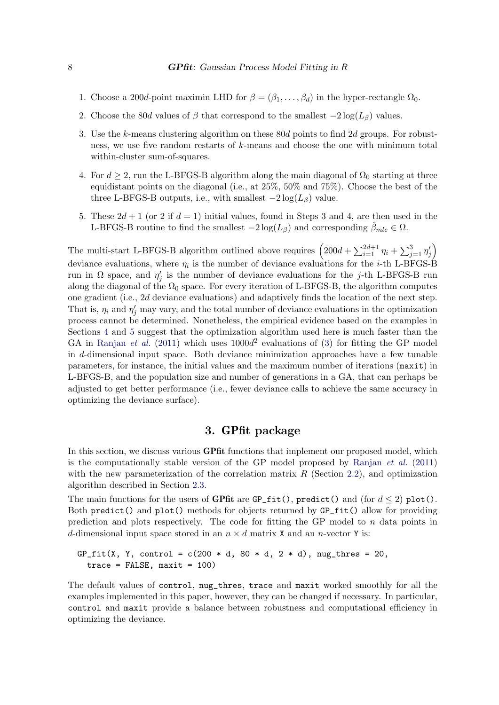- 1. Choose a 200d-point maximin LHD for  $\beta = (\beta_1, \ldots, \beta_d)$  in the hyper-rectangle  $\Omega_0$ .
- 2. Choose the 80d values of  $\beta$  that correspond to the smallest  $-2\log(L_{\beta})$  values.
- 3. Use the k-means clustering algorithm on these 80d points to find 2d groups. For robustness, we use five random restarts of k-means and choose the one with minimum total within-cluster sum-of-squares.
- 4. For  $d \geq 2$ , run the L-BFGS-B algorithm along the main diagonal of  $\Omega_0$  starting at three equidistant points on the diagonal (i.e., at 25%, 50% and 75%). Choose the best of the three L-BFGS-B outputs, i.e., with smallest  $-2 \log(L_\beta)$  value.
- 5. These  $2d+1$  (or 2 if  $d=1$ ) initial values, found in Steps 3 and 4, are then used in the L-BFGS-B routine to find the smallest  $-2\log(L_{\beta})$  and corresponding  $\beta_{mle} \in \Omega$ .

The multi-start L-BFGS-B algorithm outlined above requires  $\left(200d + \sum_{i=1}^{2d+1} \eta_i + \sum_{j=1}^3 \eta'_j\right)$  $\zeta_j\rangle$ deviance evaluations, where  $\eta_i$  is the number of deviance evaluations for the *i*-th L-BFGS-B run in  $\Omega$  space, and  $\eta'$  $j'$  is the number of deviance evaluations for the j-th L-BFGS-B run along the diagonal of the  $\Omega_0$  space. For every iteration of L-BFGS-B, the algorithm computes one gradient (i.e., 2d deviance evaluations) and adaptively finds the location of the next step. That is,  $\eta_i$  and  $\eta'_j$  may vary, and the total number of deviance evaluations in the optimization process cannot be determined. Nonetheless, the empirical evidence based on the examples in Sections 4 and 5 suggest that the optimization algorithm used here is much faster than the GA in Ranjan *et al.* (2011) which uses  $1000d^2$  evaluations of (3) for fitting the GP model in d-dimensional input space. Both deviance minimization approaches have a few tunable parameters, for instance, the initial values and the maximum number of iterations (maxit) in L-BFGS-B, and the population size and number of generations in a GA, that can perhaps be adjusted to get better performance (i.e., fewer deviance calls to achieve the same accuracy in optimizing the deviance surface).

#### 3. GPfit package

In this section, we discuss various **GPfit** functions that implement our proposed model, which is the computationally stable version of the GP model proposed by Ranjan *et al.* (2011) with the new parameterization of the correlation matrix  $R$  (Section 2.2), and optimization algorithm described in Section 2.3.

The main functions for the users of GPfit are GP\_fit(), predict() and (for  $d \le 2$ ) plot(). Both predict() and plot() methods for objects returned by GP\_fit() allow for providing prediction and plots respectively. The code for fitting the GP model to  $n$  data points in d-dimensional input space stored in an  $n \times d$  matrix X and an n-vector Y is:

$$
GP_fit(X, Y, control = c(200 * d, 80 * d, 2 * d), nug_thres = 20, trace = FALSE, maxit = 100)
$$

The default values of control, nug\_thres, trace and maxit worked smoothly for all the examples implemented in this paper, however, they can be changed if necessary. In particular, control and maxit provide a balance between robustness and computational efficiency in optimizing the deviance.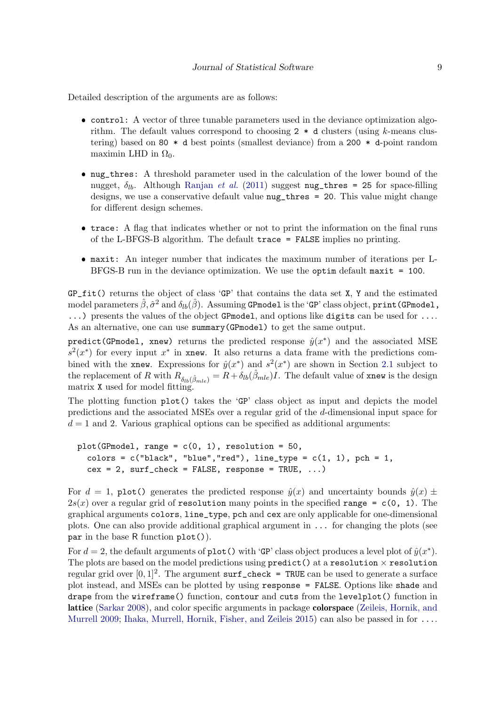Detailed description of the arguments are as follows:

- control: A vector of three tunable parameters used in the deviance optimization algorithm. The default values correspond to choosing  $2 * d$  clusters (using k-means clustering) based on 80 \* d best points (smallest deviance) from a 200 \* d-point random maximin LHD in  $\Omega_0$ .
- ❼ nug\_thres: A threshold parameter used in the calculation of the lower bound of the nugget,  $\delta_{lh}$ . Although Ranjan *et al.* (2011) suggest nug thres = 25 for space-filling designs, we use a conservative default value nug\_thres = 20. This value might change for different design schemes.
- ❼ trace: A flag that indicates whether or not to print the information on the final runs of the L-BFGS-B algorithm. The default trace = FALSE implies no printing.
- ❼ maxit: An integer number that indicates the maximum number of iterations per L-BFGS-B run in the deviance optimization. We use the optim default maxit = 100.

 $GP_f$ it() returns the object of class 'GP' that contains the data set X, Y and the estimated model parameters  $\hat{\beta}, \hat{\sigma}^2$  and  $\delta_{lb}(\hat{\beta})$ . Assuming <code>GPmodel</code> is the 'GP' class object, <code>print(GPmodel,</code> ...) presents the values of the object GPmodel, and options like digits can be used for .... As an alternative, one can use summary(GPmodel) to get the same output.

predict(GPmodel, xnew) returns the predicted response  $\hat{y}(x^*)$  and the associated MSE  $s^2(x^*)$  for every input  $x^*$  in xnew. It also returns a data frame with the predictions combined with the xnew. Expressions for  $\hat{y}(x^*)$  and  $s^2(x^*)$  are shown in Section 2.1 subject to the replacement of R with  $R_{\delta_{lb}(\hat{\beta}_{mle})} = R + \delta_{lb}(\hat{\beta}_{mle})I$ . The default value of xnew is the design matrix X used for model fitting.

The plotting function plot() takes the 'GP' class object as input and depicts the model predictions and the associated MSEs over a regular grid of the d-dimensional input space for  $d = 1$  and 2. Various graphical options can be specified as additional arguments:

```
plot(GPmodel, range = c(0, 1), resolution = 50,
  colors = c("black", "blue", "red"), line_type = <math>c(1, 1)</math>, pch = 1,cex = 2, surf\_check = FALSE, response = TRUE, ...)
```
For  $d = 1$ , plot() generates the predicted response  $\hat{y}(x)$  and uncertainty bounds  $\hat{y}(x) \pm \hat{y}(x)$  $2s(x)$  over a regular grid of resolution many points in the specified range = c(0, 1). The graphical arguments colors, line\_type, pch and cex are only applicable for one-dimensional plots. One can also provide additional graphical argument in ... for changing the plots (see par in the base R function plot()).

For  $d = 2$ , the default arguments of plot() with 'GP' class object produces a level plot of  $\hat{y}(x^*)$ . The plots are based on the model predictions using  $predict()$  at a resolution  $\times$  resolution regular grid over  $[0,1]^2$ . The argument surf\_check = TRUE can be used to generate a surface plot instead, and MSEs can be plotted by using response = FALSE. Options like shade and drape from the wireframe() function, contour and cuts from the levelplot() function in lattice (Sarkar 2008), and color specific arguments in package colorspace (Zeileis, Hornik, and Murrell 2009; Ihaka, Murrell, Hornik, Fisher, and Zeileis 2015) can also be passed in for ....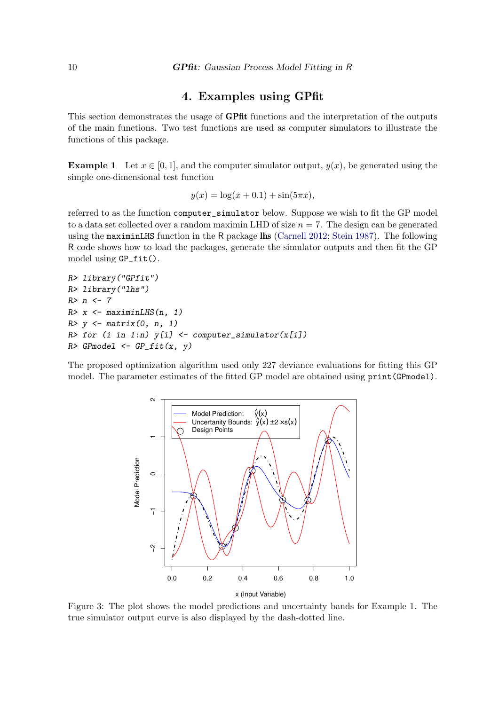#### 4. Examples using GPfit

This section demonstrates the usage of **GPfit** functions and the interpretation of the outputs of the main functions. Two test functions are used as computer simulators to illustrate the functions of this package.

**Example 1** Let  $x \in [0, 1]$ , and the computer simulator output,  $y(x)$ , be generated using the simple one-dimensional test function

$$
y(x) = \log(x + 0.1) + \sin(5\pi x),
$$

referred to as the function computer\_simulator below. Suppose we wish to fit the GP model to a data set collected over a random maximin LHD of size  $n = 7$ . The design can be generated using the maximinLHS function in the R package lhs (Carnell 2012; Stein 1987). The following R code shows how to load the packages, generate the simulator outputs and then fit the GP model using GP\_fit().

```
R> library("GPfit")
R> library("lhs")
R> n <- 7
R> x <- maximinLHS(n, 1)
R> y <- matrix(0, n, 1)
R> for (i in 1:n) y[i] <- computer_simulator(x[i])
R> GPmodel <- GP_fit(x, y)
```
The proposed optimization algorithm used only 227 deviance evaluations for fitting this GP model. The parameter estimates of the fitted GP model are obtained using print(GPmodel).



Figure 3: The plot shows the model predictions and uncertainty bands for Example 1. The true simulator output curve is also displayed by the dash-dotted line.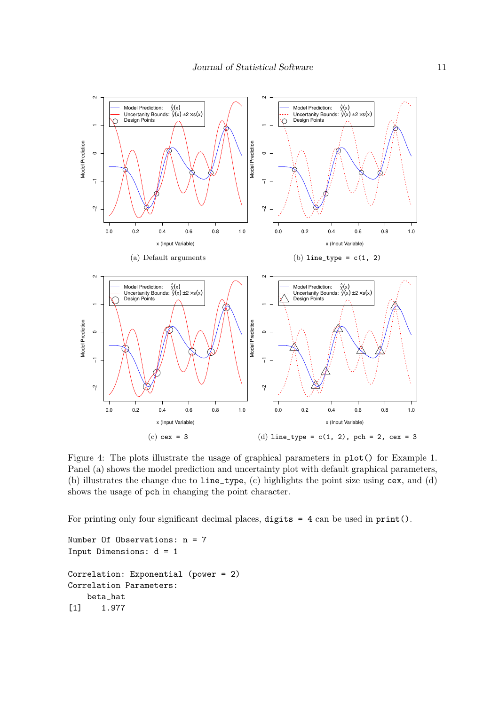

Figure 4: The plots illustrate the usage of graphical parameters in plot() for Example 1. Panel (a) shows the model prediction and uncertainty plot with default graphical parameters, (b) illustrates the change due to line\_type, (c) highlights the point size using cex, and (d) shows the usage of pch in changing the point character.

For printing only four significant decimal places, digits = 4 can be used in print().

```
Number Of Observations: n = 7
Input Dimensions: d = 1
Correlation: Exponential (power = 2)
Correlation Parameters:
   beta_hat
[1] 1.977
```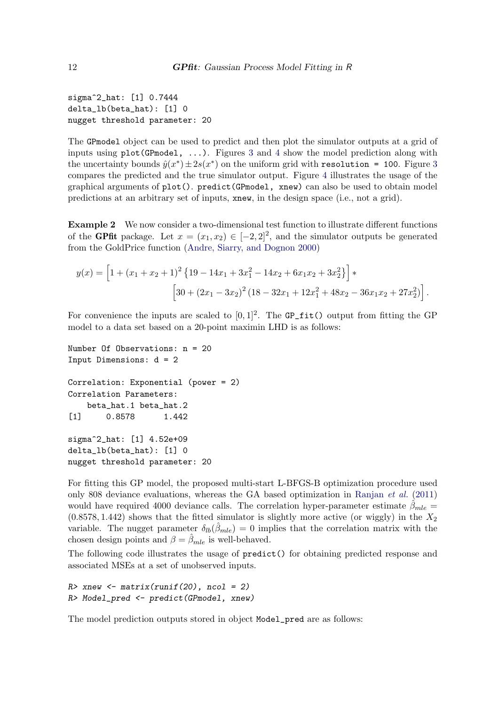sigma^2\_hat: [1] 0.7444 delta\_lb(beta\_hat): [1] 0 nugget threshold parameter: 20

The GPmodel object can be used to predict and then plot the simulator outputs at a grid of inputs using  $plot(GPmodel, ...)$ . Figures 3 and 4 show the model prediction along with the uncertainty bounds  $\hat{y}(x^*) \pm 2s(x^*)$  on the uniform grid with resolution = 100. Figure 3 compares the predicted and the true simulator output. Figure 4 illustrates the usage of the graphical arguments of plot(). predict(GPmodel, xnew) can also be used to obtain model predictions at an arbitrary set of inputs, xnew, in the design space (i.e., not a grid).

Example 2 We now consider a two-dimensional test function to illustrate different functions of the **GPfit** package. Let  $x = (x_1, x_2) \in [-2, 2]^2$ , and the simulator outputs be generated from the GoldPrice function (Andre, Siarry, and Dognon 2000)

$$
y(x) = \left[1 + (x_1 + x_2 + 1)^2 \{19 - 14x_1 + 3x_1^2 - 14x_2 + 6x_1x_2 + 3x_2^2\}\right] *
$$
  
\n
$$
\left[30 + (2x_1 - 3x_2)^2 (18 - 32x_1 + 12x_1^2 + 48x_2 - 36x_1x_2 + 27x_2^2)\right].
$$

For convenience the inputs are scaled to  $[0,1]^2$ . The GP\_fit() output from fitting the GP model to a data set based on a 20-point maximin LHD is as follows:

```
Number Of Observations: n = 20
Input Dimensions: d = 2
Correlation: Exponential (power = 2)
Correlation Parameters:
   beta_hat.1 beta_hat.2
[1] 0.8578 1.442
sigma^2_hat: [1] 4.52e+09
delta_lb(beta_hat): [1] 0
nugget threshold parameter: 20
```
For fitting this GP model, the proposed multi-start L-BFGS-B optimization procedure used only 808 deviance evaluations, whereas the GA based optimization in Ranjan *et al.* (2011) would have required 4000 deviance calls. The correlation hyper-parameter estimate  $\beta_{mle}$  $(0.8578, 1.442)$  shows that the fitted simulator is slightly more active (or wiggly) in the  $X_2$ variable. The nugget parameter  $\delta_{lb}(\hat{\beta}_{mle}) = 0$  implies that the correlation matrix with the chosen design points and  $\beta = \beta_{mle}$  is well-behaved.

The following code illustrates the usage of predict() for obtaining predicted response and associated MSEs at a set of unobserved inputs.

```
R> xnew <- matrix(runif(20), ncol = 2)
R> Model_pred <- predict(GPmodel, xnew)
```
The model prediction outputs stored in object Model\_pred are as follows: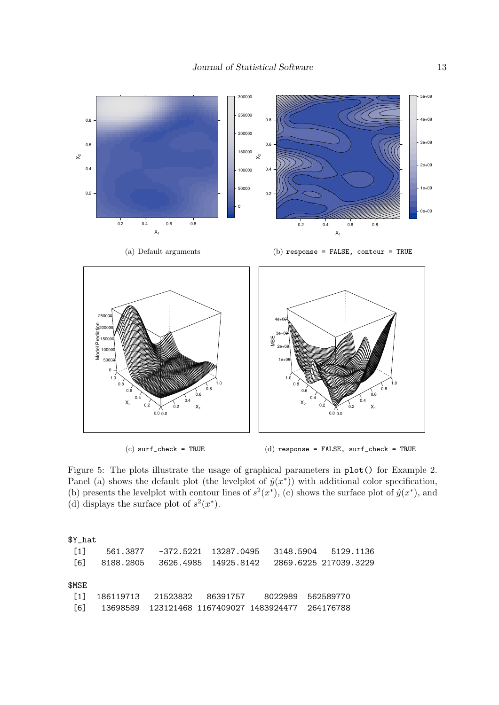

 $(c)$  surf\_check = TRUE

(d) response = FALSE, surf\_check = TRUE

Figure 5: The plots illustrate the usage of graphical parameters in plot() for Example 2. Panel (a) shows the default plot (the levelplot of  $\hat{y}(x^*)$ ) with additional color specification, (b) presents the levelplot with contour lines of  $s^2(x^*)$ , (c) shows the surface plot of  $\hat{y}(x^*)$ , and (d) displays the surface plot of  $s^2(x^*)$ .

| \$Y_hat           |                                                   |  |  |
|-------------------|---------------------------------------------------|--|--|
| $\left[1\right]$  | 561.3877 -372.5221 13287.0495 3148.5904 5129.1136 |  |  |
| [6]               |                                                   |  |  |
|                   |                                                   |  |  |
| \$MSE             |                                                   |  |  |
| $\lceil 1 \rceil$ | 186119713  21523832  86391757  8022989  562589770 |  |  |
| [6]               |                                                   |  |  |
|                   |                                                   |  |  |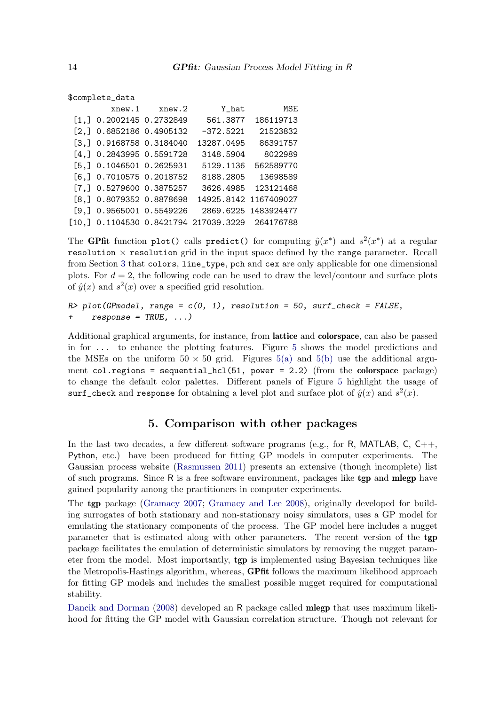```
$complete_data
        xnew.1 xnew.2 Y_hat MSE
[1,] 0.2002145 0.2732849 561.3877 186119713
[2,] 0.6852186 0.4905132 -372.5221 21523832
[3,] 0.9168758 0.3184040 13287.0495 86391757
[4,] 0.2843995 0.5591728 3148.5904 8022989
[5,] 0.1046501 0.2625931 5129.1136 562589770
[6,] 0.7010575 0.2018752 8188.2805 13698589
[7,] 0.5279600 0.3875257 3626.4985 123121468
[8,] 0.8079352 0.8878698 14925.8142 1167409027
[9,] 0.9565001 0.5549226 2869.6225 1483924477
[10,] 0.1104530 0.8421794 217039.3229 264176788
```
The GPfit function plot() calls predict() for computing  $\hat{y}(x^*)$  and  $s^2(x^*)$  at a regular resolution  $\times$  resolution grid in the input space defined by the range parameter. Recall from Section 3 that colors, line\_type, pch and cex are only applicable for one dimensional plots. For  $d = 2$ , the following code can be used to draw the level/contour and surface plots of  $\hat{y}(x)$  and  $s^2(x)$  over a specified grid resolution.

```
R> plot(GPmodel, range = c(0, 1), resolution = 50, surf_check = FALSE,
+ response = TRUE, ...)
```
Additional graphical arguments, for instance, from **lattice** and **colorspace**, can also be passed in for ... to enhance the plotting features. Figure 5 shows the model predictions and the MSEs on the uniform  $50 \times 50$  grid. Figures  $5(a)$  and  $5(b)$  use the additional argument col.regions = sequential\_hcl(51, power = 2.2) (from the colorspace package) to change the default color palettes. Different panels of Figure 5 highlight the usage of surf\_check and response for obtaining a level plot and surface plot of  $\hat{y}(x)$  and  $s^2(x)$ .

### 5. Comparison with other packages

In the last two decades, a few different software programs (e.g., for R, MATLAB, C,  $C_{++}$ , Python, etc.) have been produced for fitting GP models in computer experiments. The Gaussian process website (Rasmussen 2011) presents an extensive (though incomplete) list of such programs. Since  $R$  is a free software environment, packages like  $tgp$  and mlegp have gained popularity among the practitioners in computer experiments.

The tgp package (Gramacy 2007; Gramacy and Lee 2008), originally developed for building surrogates of both stationary and non-stationary noisy simulators, uses a GP model for emulating the stationary components of the process. The GP model here includes a nugget parameter that is estimated along with other parameters. The recent version of the tgp package facilitates the emulation of deterministic simulators by removing the nugget parameter from the model. Most importantly, tgp is implemented using Bayesian techniques like the Metropolis-Hastings algorithm, whereas, GPfit follows the maximum likelihood approach for fitting GP models and includes the smallest possible nugget required for computational stability.

Dancik and Dorman (2008) developed an R package called mlegp that uses maximum likelihood for fitting the GP model with Gaussian correlation structure. Though not relevant for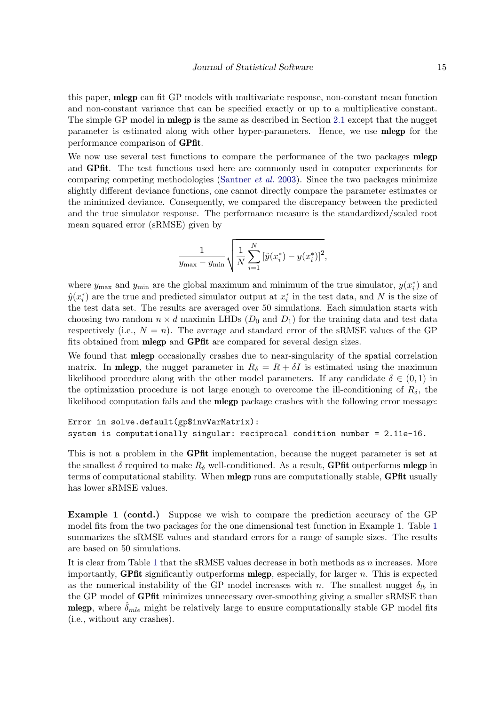this paper, mlegp can fit GP models with multivariate response, non-constant mean function and non-constant variance that can be specified exactly or up to a multiplicative constant. The simple GP model in **mlegp** is the same as described in Section 2.1 except that the nugget parameter is estimated along with other hyper-parameters. Hence, we use mlegp for the performance comparison of GPfit.

We now use several test functions to compare the performance of the two packages **mlegp** and GPfit. The test functions used here are commonly used in computer experiments for comparing competing methodologies (Santner *et al.* 2003). Since the two packages minimize slightly different deviance functions, one cannot directly compare the parameter estimates or the minimized deviance. Consequently, we compared the discrepancy between the predicted and the true simulator response. The performance measure is the standardized/scaled root mean squared error (sRMSE) given by

$$
\frac{1}{y_{\max} - y_{\min}} \sqrt{\frac{1}{N} \sum_{i=1}^{N} \left[ \hat{y}(x_i^*) - y(x_i^*) \right]^2},
$$

where  $y_{\text{max}}$  and  $y_{\text{min}}$  are the global maximum and minimum of the true simulator,  $y(x_i^*$  $\binom{*}{i}$  and  $\hat{y}(x_i^*)$  $\stackrel{*}{_i}$  ) are the true and predicted simulator output at  $x_i^*$  $i$ <sup>\*</sup> in the test data, and N is the size of the test data set. The results are averaged over 50 simulations. Each simulation starts with choosing two random  $n \times d$  maximin LHDs  $(D_0 \text{ and } D_1)$  for the training data and test data respectively (i.e.,  $N = n$ ). The average and standard error of the sRMSE values of the GP fits obtained from mlegp and GPfit are compared for several design sizes.

We found that mlegp occasionally crashes due to near-singularity of the spatial correlation matrix. In **mlegp**, the nugget parameter in  $R_{\delta} = R + \delta I$  is estimated using the maximum likelihood procedure along with the other model parameters. If any candidate  $\delta \in (0,1)$  in the optimization procedure is not large enough to overcome the ill-conditioning of  $R_{\delta}$ , the likelihood computation fails and the mlegp package crashes with the following error message:

#### Error in solve.default(gp\$invVarMatrix): system is computationally singular: reciprocal condition number = 2.11e-16.

This is not a problem in the **GPfit** implementation, because the nugget parameter is set at the smallest  $\delta$  required to make  $R_{\delta}$  well-conditioned. As a result, **GPfit** outperforms **mlegp** in terms of computational stability. When **mlegp** runs are computationally stable, **GPfit** usually has lower sRMSE values.

Example 1 (contd.) Suppose we wish to compare the prediction accuracy of the GP model fits from the two packages for the one dimensional test function in Example 1. Table 1 summarizes the sRMSE values and standard errors for a range of sample sizes. The results are based on 50 simulations.

It is clear from Table 1 that the sRMSE values decrease in both methods as  $n$  increases. More importantly, **GPfit** significantly outperforms **mlegp**, especially, for larger  $n$ . This is expected as the numerical instability of the GP model increases with n. The smallest nugget  $\delta_{lb}$  in the GP model of GPfit minimizes unnecessary over-smoothing giving a smaller sRMSE than **mlegp**, where  $\hat{\delta}_{mle}$  might be relatively large to ensure computationally stable GP model fits (i.e., without any crashes).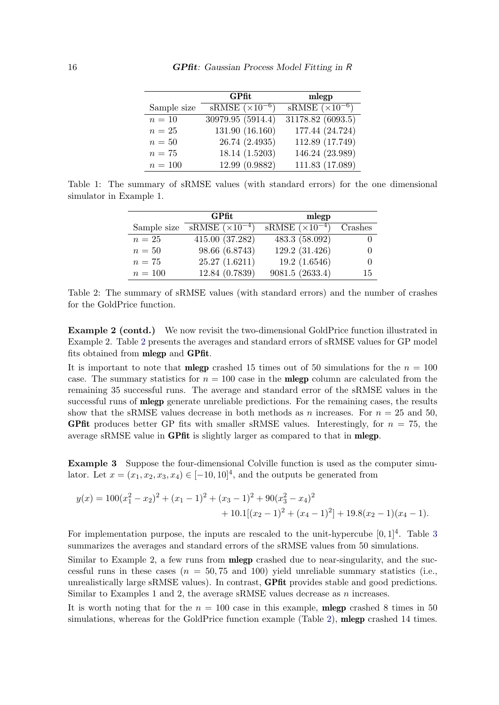|             | GPfit                    | mlegp                                          |
|-------------|--------------------------|------------------------------------------------|
| Sample size | $sRMSE (\times 10^{-6})$ | $\overline{\text{sRMSE}}$ ( $\times 10^{-6}$ ) |
| $n=10$      | 30979.95 (5914.4)        | 31178.82 (6093.5)                              |
| $n=25$      | 131.90 (16.160)          | 177.44 (24.724)                                |
| $n=50$      | 26.74 (2.4935)           | 112.89 (17.749)                                |
| $n=75$      | 18.14 (1.5203)           | 146.24 (23.989)                                |
| $n = 100$   | 12.99 (0.9882)           | 111.83 (17.089)                                |

Table 1: The summary of sRMSE values (with standard errors) for the one dimensional simulator in Example 1.

|             | GPfit                    | mlegp                                          |                  |
|-------------|--------------------------|------------------------------------------------|------------------|
| Sample size | $sRMSE (\times 10^{-4})$ | $\overline{\text{sRMSE}}$ (×10 <sup>-4</sup> ) | Crashes          |
| $n=25$      | 415.00 (37.282)          | 483.3 (58.092)                                 |                  |
| $n=50$      | 98.66 (6.8743)           | 129.2 (31.426)                                 | $\theta$         |
| $n=75$      | 25.27(1.6211)            | 19.2(1.6546)                                   | $\left( \right)$ |
| $n = 100$   | 12.84 (0.7839)           | 9081.5 (2633.4)                                | 15               |

Table 2: The summary of sRMSE values (with standard errors) and the number of crashes for the GoldPrice function.

Example 2 (contd.) We now revisit the two-dimensional GoldPrice function illustrated in Example 2. Table 2 presents the averages and standard errors of sRMSE values for GP model fits obtained from mlegp and GPfit.

It is important to note that **mlegp** crashed 15 times out of 50 simulations for the  $n = 100$ case. The summary statistics for  $n = 100$  case in the **mlegp** column are calculated from the remaining 35 successful runs. The average and standard error of the sRMSE values in the successful runs of **mlegp** generate unreliable predictions. For the remaining cases, the results show that the sRMSE values decrease in both methods as n increases. For  $n = 25$  and 50, **GPfit** produces better GP fits with smaller sRMSE values. Interestingly, for  $n = 75$ , the average sRMSE value in GPfit is slightly larger as compared to that in mlegp.

Example 3 Suppose the four-dimensional Colville function is used as the computer simulator. Let  $x = (x_1, x_2, x_3, x_4) \in [-10, 10]^4$ , and the outputs be generated from

$$
y(x) = 100(x_1^2 - x_2)^2 + (x_1 - 1)^2 + (x_3 - 1)^2 + 90(x_3^2 - x_4)^2
$$
  
+ 10.1[(x<sub>2</sub> - 1)<sup>2</sup> + (x<sub>4</sub> - 1)<sup>2</sup>] + 19.8(x<sub>2</sub> - 1)(x<sub>4</sub> - 1).

For implementation purpose, the inputs are rescaled to the unit-hypercube  $[0, 1]^4$ . Table 3 summarizes the averages and standard errors of the sRMSE values from 50 simulations.

Similar to Example 2, a few runs from mlegp crashed due to near-singularity, and the successful runs in these cases  $(n = 50, 75, 100)$  yield unreliable summary statistics (i.e., unrealistically large sRMSE values). In contrast, GPfit provides stable and good predictions. Similar to Examples 1 and 2, the average sRMSE values decrease as n increases.

It is worth noting that for the  $n = 100$  case in this example, **mlegp** crashed 8 times in 50 simulations, whereas for the GoldPrice function example (Table 2), **mlegp** crashed 14 times.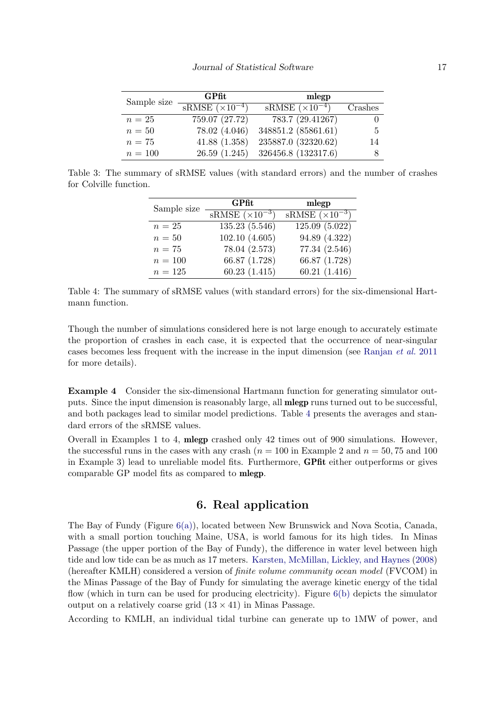| Sample size | GPfit                    | mlegp                           |         |
|-------------|--------------------------|---------------------------------|---------|
|             | $sRMSE (\times 10^{-4})$ | $sRMSE$ $\overline{(x10^{-4})}$ | Crashes |
| $n=25$      | 759.07 (27.72)           | 783.7 (29.41267)                |         |
| $n=50$      | 78.02 (4.046)            | 348851.2 (85861.61)             | -5      |
| $n=75$      | 41.88(1.358)             | 235887.0 (32320.62)             | 14      |
| $n = 100$   | 26.59(1.245)             | 326456.8 (132317.6)             |         |

Table 3: The summary of sRMSE values (with standard errors) and the number of crashes for Colville function.

| Sample size | GPfit                    | mlegp                                          |
|-------------|--------------------------|------------------------------------------------|
|             | $sRMSE (\times 10^{-3})$ | $\overline{\text{sRMSE}}$ ( $\times 10^{-3}$ ) |
| $n=25$      | 135.23 (5.546)           | 125.09 (5.022)                                 |
| $n=50$      | 102.10(4.605)            | 94.89 (4.322)                                  |
| $n=75$      | 78.04 (2.573)            | 77.34 (2.546)                                  |
| $n = 100$   | 66.87 (1.728)            | 66.87 (1.728)                                  |
| $n = 125$   | 60.23(1.415)             | 60.21(1.416)                                   |

Table 4: The summary of sRMSE values (with standard errors) for the six-dimensional Hartmann function.

Though the number of simulations considered here is not large enough to accurately estimate the proportion of crashes in each case, it is expected that the occurrence of near-singular cases becomes less frequent with the increase in the input dimension (see Ranjan *et al.* 2011 for more details).

Example 4 Consider the six-dimensional Hartmann function for generating simulator outputs. Since the input dimension is reasonably large, all mlegp runs turned out to be successful, and both packages lead to similar model predictions. Table 4 presents the averages and standard errors of the sRMSE values.

Overall in Examples 1 to 4, mlegp crashed only 42 times out of 900 simulations. However, the successful runs in the cases with any crash  $(n = 100$  in Example 2 and  $n = 50, 75$  and 100 in Example 3) lead to unreliable model fits. Furthermore, GPfit either outperforms or gives comparable GP model fits as compared to mlegp.

#### 6. Real application

The Bay of Fundy (Figure  $6(a)$ ), located between New Brunswick and Nova Scotia, Canada, with a small portion touching Maine, USA, is world famous for its high tides. In Minas Passage (the upper portion of the Bay of Fundy), the difference in water level between high tide and low tide can be as much as 17 meters. Karsten, McMillan, Lickley, and Haynes (2008) (hereafter KMLH) considered a version of *finite volume community ocean model* (FVCOM) in the Minas Passage of the Bay of Fundy for simulating the average kinetic energy of the tidal flow (which in turn can be used for producing electricity). Figure  $6(b)$  depicts the simulator output on a relatively coarse grid  $(13 \times 41)$  in Minas Passage.

According to KMLH, an individual tidal turbine can generate up to 1MW of power, and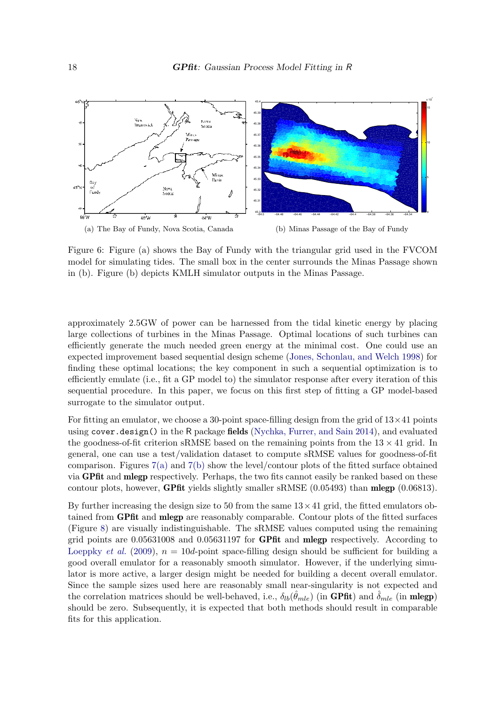

Figure 6: Figure (a) shows the Bay of Fundy with the triangular grid used in the FVCOM model for simulating tides. The small box in the center surrounds the Minas Passage shown in (b). Figure (b) depicts KMLH simulator outputs in the Minas Passage.

approximately 2.5GW of power can be harnessed from the tidal kinetic energy by placing large collections of turbines in the Minas Passage. Optimal locations of such turbines can efficiently generate the much needed green energy at the minimal cost. One could use an expected improvement based sequential design scheme (Jones, Schonlau, and Welch 1998) for finding these optimal locations; the key component in such a sequential optimization is to efficiently emulate (i.e., fit a GP model to) the simulator response after every iteration of this sequential procedure. In this paper, we focus on this first step of fitting a GP model-based surrogate to the simulator output.

For fitting an emulator, we choose a 30-point space-filling design from the grid of  $13\times 41$  points using cover.design() in the R package fields (Nychka, Furrer, and Sain 2014), and evaluated the goodness-of-fit criterion sRMSE based on the remaining points from the  $13 \times 41$  grid. In general, one can use a test/validation dataset to compute sRMSE values for goodness-of-fit comparison. Figures  $7(a)$  and  $7(b)$  show the level/contour plots of the fitted surface obtained via GPfit and mlegp respectively. Perhaps, the two fits cannot easily be ranked based on these contour plots, however, GPfit yields slightly smaller sRMSE (0.05493) than mlegp (0.06813).

By further increasing the design size to 50 from the same  $13 \times 41$  grid, the fitted emulators obtained from GPfit and mlegp are reasonably comparable. Contour plots of the fitted surfaces (Figure 8) are visually indistinguishable. The sRMSE values computed using the remaining grid points are 0.05631008 and 0.05631197 for GPfit and mlegp respectively. According to Loeppky *et al.* (2009),  $n = 10d$ -point space-filling design should be sufficient for building a good overall emulator for a reasonably smooth simulator. However, if the underlying simulator is more active, a larger design might be needed for building a decent overall emulator. Since the sample sizes used here are reasonably small near-singularity is not expected and the correlation matrices should be well-behaved, i.e.,  $\delta_{lb}(\hat{\theta}_{mle})$  (in GPfit) and  $\hat{\delta}_{mle}$  (in mlegp) should be zero. Subsequently, it is expected that both methods should result in comparable fits for this application.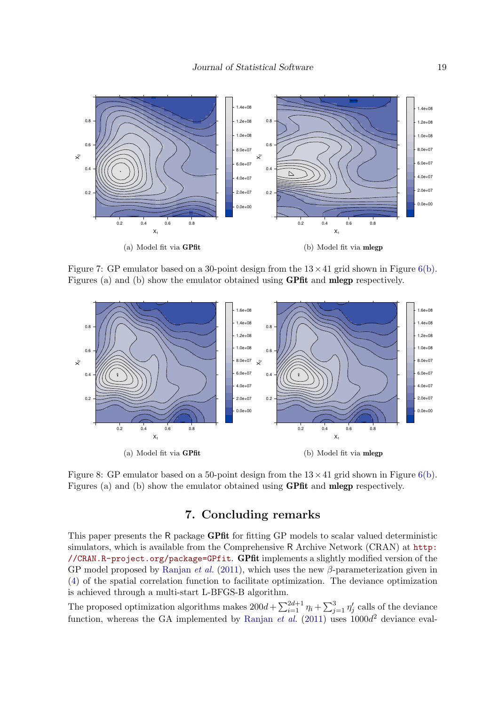

Figure 7: GP emulator based on a 30-point design from the  $13 \times 41$  grid shown in Figure 6(b). Figures (a) and (b) show the emulator obtained using GPfit and mlegp respectively.



Figure 8: GP emulator based on a 50-point design from the  $13 \times 41$  grid shown in Figure 6(b). Figures (a) and (b) show the emulator obtained using GPfit and mlegp respectively.

# 7. Concluding remarks

This paper presents the R package GPfit for fitting GP models to scalar valued deterministic simulators, which is available from the Comprehensive R Archive Network (CRAN) at http: //CRAN.R-project.org/package=GPfit. GPfit implements a slightly modified version of the GP model proposed by Ranjan *et al.* (2011), which uses the new  $\beta$ -parameterization given in (4) of the spatial correlation function to facilitate optimization. The deviance optimization is achieved through a multi-start L-BFGS-B algorithm.

The proposed optimization algorithms makes  $200d + \sum_{i=1}^{2d+1} \eta_i + \sum_{j=1}^3 \eta_j'$  $y'_j$  calls of the deviance function, whereas the GA implemented by Ranjan  $et$  al. (2011) uses  $1000d^2$  deviance eval-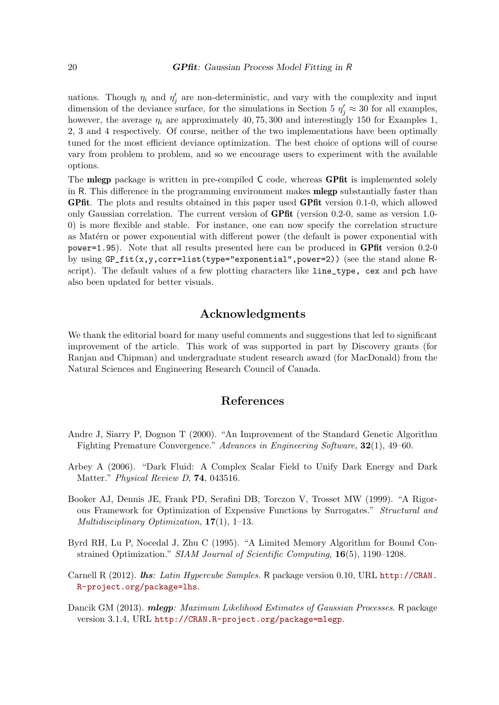uations. Though  $\eta_i$  and  $\eta'_i$  $j'$  are non-deterministic, and vary with the complexity and input dimension of the deviance surface, for the simulations in Section 5  $\eta'_j \approx 30$  for all examples, however, the average  $\eta_i$  are approximately 40, 75, 300 and interestingly 150 for Examples 1, 2, 3 and 4 respectively. Of course, neither of the two implementations have been optimally tuned for the most efficient deviance optimization. The best choice of options will of course vary from problem to problem, and so we encourage users to experiment with the available options.

The **mlegp** package is written in pre-compiled C code, whereas **GPfit** is implemented solely in R. This difference in the programming environment makes mlegp substantially faster than GPfit. The plots and results obtained in this paper used GPfit version 0.1-0, which allowed only Gaussian correlation. The current version of GPfit (version 0.2-0, same as version 1.0- 0) is more flexible and stable. For instance, one can now specify the correlation structure as Matérn or power exponential with different power (the default is power exponential with power=1.95). Note that all results presented here can be produced in GPfit version 0.2-0 by using GP\_fit(x,y,corr=list(type="exponential",power=2)) (see the stand alone Rscript). The default values of a few plotting characters like line\_type, cex and pch have also been updated for better visuals.

#### Acknowledgments

We thank the editorial board for many useful comments and suggestions that led to significant improvement of the article. This work of was supported in part by Discovery grants (for Ranjan and Chipman) and undergraduate student research award (for MacDonald) from the Natural Sciences and Engineering Research Council of Canada.

## References

- Andre J, Siarry P, Dognon T (2000). "An Improvement of the Standard Genetic Algorithm Fighting Premature Convergence." *Advances in Engineering Software*, 32(1), 49–60.
- Arbey A (2006). "Dark Fluid: A Complex Scalar Field to Unify Dark Energy and Dark Matter." *Physical Review D*, 74, 043516.
- Booker AJ, Dennis JE, Frank PD, Serafini DB, Torczon V, Trosset MW (1999). "A Rigorous Framework for Optimization of Expensive Functions by Surrogates." *Structural and Multidisciplinary Optimization*, 17(1), 1–13.
- Byrd RH, Lu P, Nocedal J, Zhu C (1995). "A Limited Memory Algorithm for Bound Constrained Optimization." *SIAM Journal of Scientific Computing*, 16(5), 1190–1208.
- Carnell R (2012). lhs*: Latin Hypercube Samples*. R package version 0.10, URL http://CRAN. R-project.org/package=lhs.
- Dancik GM (2013). mlegp*: Maximum Likelihood Estimates of Gaussian Processes*. R package version 3.1.4, URL http://CRAN.R-project.org/package=mlegp.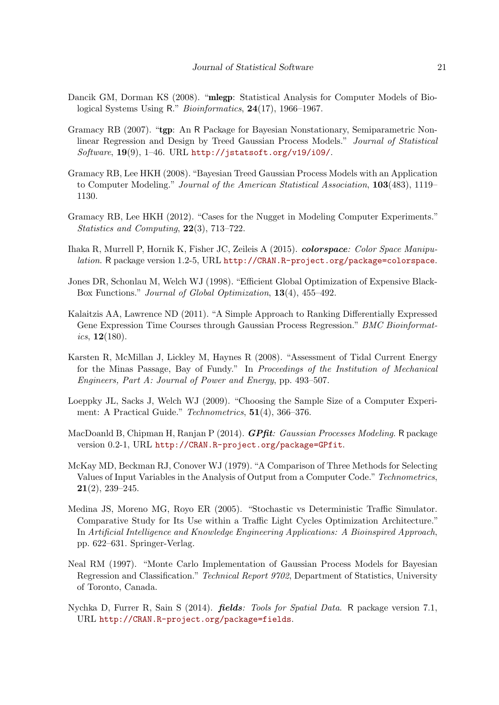- Dancik GM, Dorman KS (2008). "mlegp: Statistical Analysis for Computer Models of Biological Systems Using R." *Bioinformatics*, 24(17), 1966–1967.
- Gramacy RB (2007). "tgp: An R Package for Bayesian Nonstationary, Semiparametric Nonlinear Regression and Design by Treed Gaussian Process Models." *Journal of Statistical Software*, 19(9), 1–46. URL http://jstatsoft.org/v19/i09/.
- Gramacy RB, Lee HKH (2008). "Bayesian Treed Gaussian Process Models with an Application to Computer Modeling." *Journal of the American Statistical Association*, 103(483), 1119– 1130.
- Gramacy RB, Lee HKH (2012). "Cases for the Nugget in Modeling Computer Experiments." *Statistics and Computing*, 22(3), 713–722.
- Ihaka R, Murrell P, Hornik K, Fisher JC, Zeileis A (2015). colorspace*: Color Space Manipulation*. R package version 1.2-5, URL http://CRAN.R-project.org/package=colorspace.
- Jones DR, Schonlau M, Welch WJ (1998). "Efficient Global Optimization of Expensive Black-Box Functions." *Journal of Global Optimization*, 13(4), 455–492.
- Kalaitzis AA, Lawrence ND (2011). "A Simple Approach to Ranking Differentially Expressed Gene Expression Time Courses through Gaussian Process Regression." *BMC Bioinformatics*, 12(180).
- Karsten R, McMillan J, Lickley M, Haynes R (2008). "Assessment of Tidal Current Energy for the Minas Passage, Bay of Fundy." In *Proceedings of the Institution of Mechanical Engineers, Part A: Journal of Power and Energy*, pp. 493–507.
- Loeppky JL, Sacks J, Welch WJ (2009). "Choosing the Sample Size of a Computer Experiment: A Practical Guide." *Technometrics*, 51(4), 366–376.
- MacDoanld B, Chipman H, Ranjan P (2014). GPfit*: Gaussian Processes Modeling*. R package version 0.2-1, URL http://CRAN.R-project.org/package=GPfit.
- McKay MD, Beckman RJ, Conover WJ (1979). "A Comparison of Three Methods for Selecting Values of Input Variables in the Analysis of Output from a Computer Code." *Technometrics*, 21(2), 239–245.
- Medina JS, Moreno MG, Royo ER (2005). "Stochastic vs Deterministic Traffic Simulator. Comparative Study for Its Use within a Traffic Light Cycles Optimization Architecture." In *Artificial Intelligence and Knowledge Engineering Applications: A Bioinspired Approach*, pp. 622–631. Springer-Verlag.
- Neal RM (1997). "Monte Carlo Implementation of Gaussian Process Models for Bayesian Regression and Classification." *Technical Report 9702*, Department of Statistics, University of Toronto, Canada.
- Nychka D, Furrer R, Sain S (2014). fields*: Tools for Spatial Data*. R package version 7.1, URL http://CRAN.R-project.org/package=fields.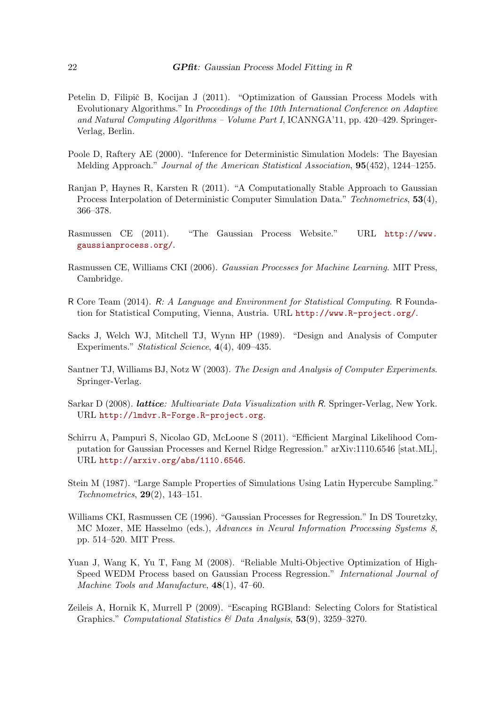- Petelin D, Filipič B, Kocijan J (2011). "Optimization of Gaussian Process Models with Evolutionary Algorithms." In *Proceedings of the 10th International Conference on Adaptive and Natural Computing Algorithms – Volume Part I*, ICANNGA'11, pp. 420–429. Springer-Verlag, Berlin.
- Poole D, Raftery AE (2000). "Inference for Deterministic Simulation Models: The Bayesian Melding Approach." *Journal of the American Statistical Association*, 95(452), 1244–1255.
- Ranjan P, Haynes R, Karsten R (2011). "A Computationally Stable Approach to Gaussian Process Interpolation of Deterministic Computer Simulation Data." *Technometrics*, 53(4), 366–378.
- Rasmussen CE (2011). "The Gaussian Process Website." URL http://www. gaussianprocess.org/.
- Rasmussen CE, Williams CKI (2006). *Gaussian Processes for Machine Learning*. MIT Press, Cambridge.
- R Core Team (2014). R*: A Language and Environment for Statistical Computing*. R Foundation for Statistical Computing, Vienna, Austria. URL http://www.R-project.org/.
- Sacks J, Welch WJ, Mitchell TJ, Wynn HP (1989). "Design and Analysis of Computer Experiments." *Statistical Science*, 4(4), 409–435.
- Santner TJ, Williams BJ, Notz W (2003). *The Design and Analysis of Computer Experiments*. Springer-Verlag.
- Sarkar D (2008). lattice*: Multivariate Data Visualization with* R. Springer-Verlag, New York. URL http://lmdvr.R-Forge.R-project.org.
- Schirru A, Pampuri S, Nicolao GD, McLoone S (2011). "Efficient Marginal Likelihood Computation for Gaussian Processes and Kernel Ridge Regression." arXiv:1110.6546 [stat.ML], URL http://arxiv.org/abs/1110.6546.
- Stein M (1987). "Large Sample Properties of Simulations Using Latin Hypercube Sampling." *Technometrics*, 29(2), 143–151.
- Williams CKI, Rasmussen CE (1996). "Gaussian Processes for Regression." In DS Touretzky, MC Mozer, ME Hasselmo (eds.), *Advances in Neural Information Processing Systems 8*, pp. 514–520. MIT Press.
- Yuan J, Wang K, Yu T, Fang M (2008). "Reliable Multi-Objective Optimization of High-Speed WEDM Process based on Gaussian Process Regression." *International Journal of Machine Tools and Manufacture*, 48(1), 47–60.
- Zeileis A, Hornik K, Murrell P (2009). "Escaping RGBland: Selecting Colors for Statistical Graphics." *Computational Statistics & Data Analysis*, 53(9), 3259–3270.